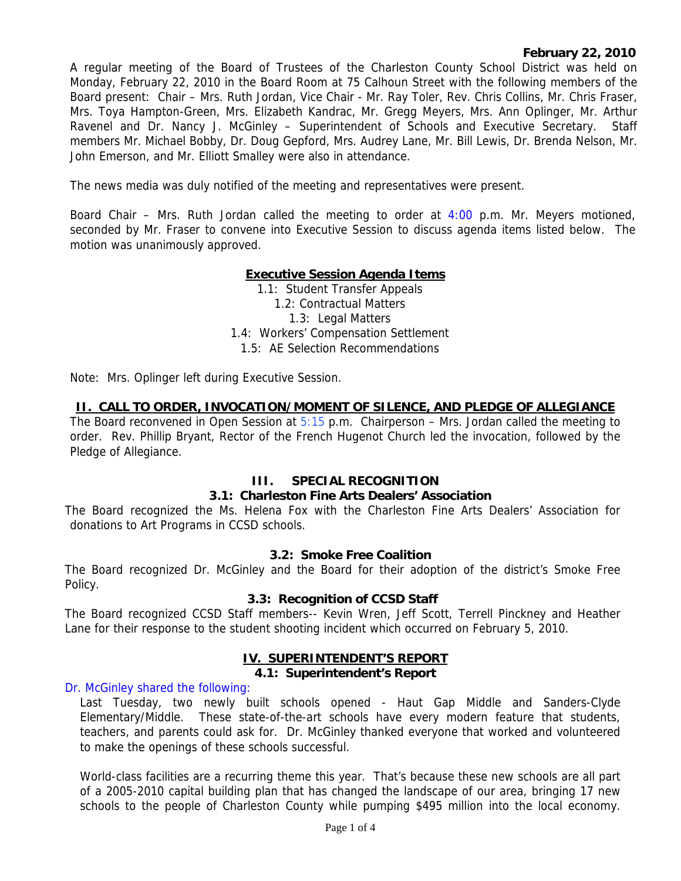## **February 22, 2010**

A regular meeting of the Board of Trustees of the Charleston County School District was held on Monday, February 22, 2010 in the Board Room at 75 Calhoun Street with the following members of the Board present: Chair – Mrs. Ruth Jordan, Vice Chair - Mr. Ray Toler, Rev. Chris Collins, Mr. Chris Fraser, Mrs. Toya Hampton-Green, Mrs. Elizabeth Kandrac, Mr. Gregg Meyers, Mrs. Ann Oplinger, Mr. Arthur Ravenel and Dr. Nancy J. McGinley – Superintendent of Schools and Executive Secretary. Staff members Mr. Michael Bobby, Dr. Doug Gepford, Mrs. Audrey Lane, Mr. Bill Lewis, Dr. Brenda Nelson, Mr. John Emerson, and Mr. Elliott Smalley were also in attendance.

The news media was duly notified of the meeting and representatives were present.

Board Chair – Mrs. Ruth Jordan called the meeting to order at 4:00 p.m. Mr. Meyers motioned, seconded by Mr. Fraser to convene into Executive Session to discuss agenda items listed below. The motion was unanimously approved.

## **Executive Session Agenda Items**

1.1: Student Transfer Appeals 1.2: Contractual Matters 1.3: Legal Matters 1.4: Workers' Compensation Settlement 1.5: AE Selection Recommendations

Note: Mrs. Oplinger left during Executive Session.

### **II. CALL TO ORDER, INVOCATION/MOMENT OF SILENCE, AND PLEDGE OF ALLEGIANCE**

The Board reconvened in Open Session at  $5:15$  p.m. Chairperson – Mrs. Jordan called the meeting to order. Rev. Phillip Bryant, Rector of the French Hugenot Church led the invocation, followed by the Pledge of Allegiance.

### **III. SPECIAL RECOGNITION**

### **3.1: Charleston Fine Arts Dealers' Association**

The Board recognized the Ms. Helena Fox with the Charleston Fine Arts Dealers' Association for donations to Art Programs in CCSD schools.

#### **3.2: Smoke Free Coalition**

The Board recognized Dr. McGinley and the Board for their adoption of the district's Smoke Free Policy.

#### **3.3: Recognition of CCSD Staff**

The Board recognized CCSD Staff members-- Kevin Wren, Jeff Scott, Terrell Pinckney and Heather Lane for their response to the student shooting incident which occurred on February 5, 2010.

#### **IV. SUPERINTENDENT'S REPORT**

#### **4.1: Superintendent's Report**

### Dr. McGinley shared the following:

Last Tuesday, two newly built schools opened - Haut Gap Middle and Sanders-Clyde Elementary/Middle. These state-of-the-art schools have every modern feature that students, teachers, and parents could ask for. Dr. McGinley thanked everyone that worked and volunteered to make the openings of these schools successful.

World-class facilities are a recurring theme this year. That's because these new schools are all part of a 2005-2010 capital building plan that has changed the landscape of our area, bringing 17 new schools to the people of Charleston County while pumping \$495 million into the local economy.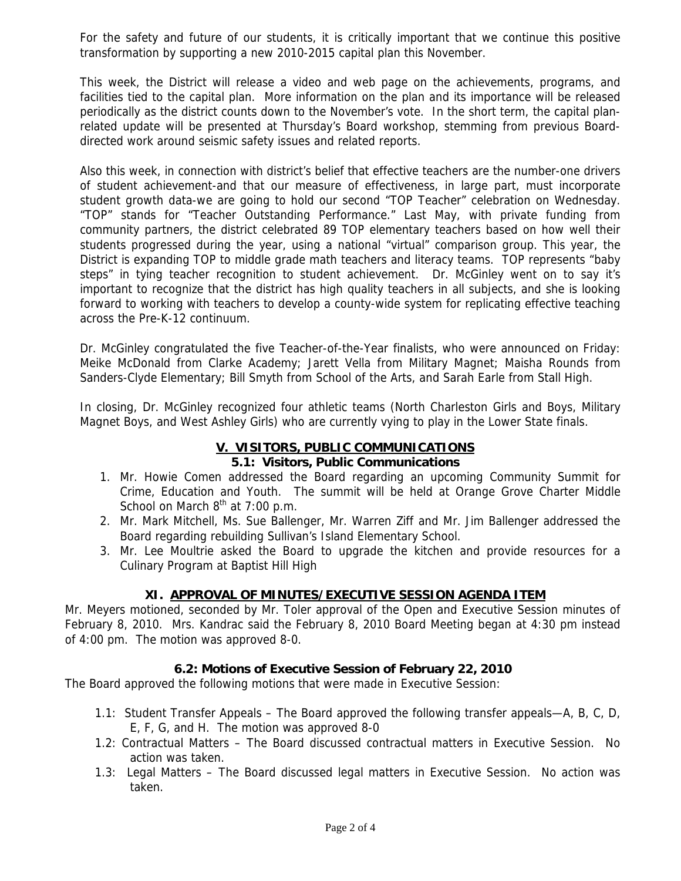For the safety and future of our students, it is critically important that we continue this positive transformation by supporting a new 2010-2015 capital plan this November.

This week, the District will release a video and web page on the achievements, programs, and facilities tied to the capital plan. More information on the plan and its importance will be released periodically as the district counts down to the November's vote. In the short term, the capital planrelated update will be presented at Thursday's Board workshop, stemming from previous Boarddirected work around seismic safety issues and related reports.

Also this week, in connection with district's belief that effective teachers are the number-one drivers of student achievement-and that our measure of effectiveness, in large part, must incorporate student growth data-we are going to hold our second "TOP Teacher" celebration on Wednesday. "TOP" stands for "Teacher Outstanding Performance." Last May, with private funding from community partners, the district celebrated 89 TOP elementary teachers based on how well their students progressed during the year, using a national "virtual" comparison group. This year, the District is expanding TOP to middle grade math teachers and literacy teams. TOP represents "baby steps" in tying teacher recognition to student achievement. Dr. McGinley went on to say it's important to recognize that the district has high quality teachers in all subjects, and she is looking forward to working with teachers to develop a county-wide system for replicating effective teaching across the Pre-K-12 continuum.

Dr. McGinley congratulated the five Teacher-of-the-Year finalists, who were announced on Friday: Meike McDonald from Clarke Academy; Jarett Vella from Military Magnet; Maisha Rounds from Sanders-Clyde Elementary; Bill Smyth from School of the Arts, and Sarah Earle from Stall High.

In closing, Dr. McGinley recognized four athletic teams (North Charleston Girls and Boys, Military Magnet Boys, and West Ashley Girls) who are currently vying to play in the Lower State finals.

#### **V. VISITORS, PUBLIC COMMUNICATIONS 5.1: Visitors, Public Communications**

- 1. Mr. Howie Comen addressed the Board regarding an upcoming Community Summit for Crime, Education and Youth. The summit will be held at Orange Grove Charter Middle School on March  $8<sup>th</sup>$  at 7:00 p.m.
- 2. Mr. Mark Mitchell, Ms. Sue Ballenger, Mr. Warren Ziff and Mr. Jim Ballenger addressed the Board regarding rebuilding Sullivan's Island Elementary School.
- 3. Mr. Lee Moultrie asked the Board to upgrade the kitchen and provide resources for a Culinary Program at Baptist Hill High

# **XI. APPROVAL OF MINUTES/EXECUTIVE SESSION AGENDA ITEM**

Mr. Meyers motioned, seconded by Mr. Toler approval of the Open and Executive Session minutes of February 8, 2010. Mrs. Kandrac said the February 8, 2010 Board Meeting began at 4:30 pm instead of 4:00 pm. The motion was approved 8-0.

# **6.2: Motions of Executive Session of February 22, 2010**

The Board approved the following motions that were made in Executive Session:

- 1.1: Student Transfer Appeals The Board approved the following transfer appeals—A, B, C, D, E, F, G, and H. The motion was approved 8-0
- 1.2: Contractual Matters The Board discussed contractual matters in Executive Session. No action was taken.
- 1.3: Legal Matters The Board discussed legal matters in Executive Session. No action was taken.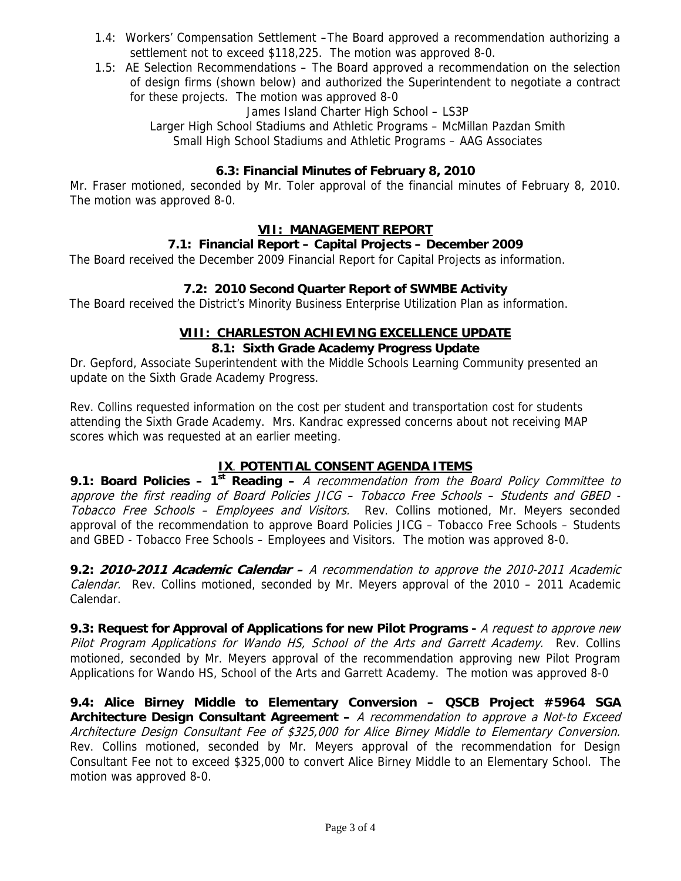- 1.4: Workers' Compensation Settlement –The Board approved a recommendation authorizing a settlement not to exceed \$118,225. The motion was approved 8-0.
- 1.5: AE Selection Recommendations The Board approved a recommendation on the selection of design firms (shown below) and authorized the Superintendent to negotiate a contract for these projects. The motion was approved 8-0

James Island Charter High School – LS3P

Larger High School Stadiums and Athletic Programs – McMillan Pazdan Smith Small High School Stadiums and Athletic Programs – AAG Associates

# **6.3: Financial Minutes of February 8, 2010**

Mr. Fraser motioned, seconded by Mr. Toler approval of the financial minutes of February 8, 2010. The motion was approved 8-0.

# **VII: MANAGEMENT REPORT**

# **7.1: Financial Report – Capital Projects – December 2009**

The Board received the December 2009 Financial Report for Capital Projects as information.

## **7.2: 2010 Second Quarter Report of SWMBE Activity**

The Board received the District's Minority Business Enterprise Utilization Plan as information.

#### **VIII: CHARLESTON ACHIEVING EXCELLENCE UPDATE 8.1: Sixth Grade Academy Progress Update**

Dr. Gepford, Associate Superintendent with the Middle Schools Learning Community presented an update on the Sixth Grade Academy Progress.

Rev. Collins requested information on the cost per student and transportation cost for students attending the Sixth Grade Academy. Mrs. Kandrac expressed concerns about not receiving MAP scores which was requested at an earlier meeting.

# **IX**. **POTENTIAL CONSENT AGENDA ITEMS**

**9.1: Board Policies – 1st Reading –** A recommendation from the Board Policy Committee to approve the first reading of Board Policies JICG – Tobacco Free Schools – Students and GBED - Tobacco Free Schools - Employees and Visitors. Rev. Collins motioned, Mr. Meyers seconded approval of the recommendation to approve Board Policies JICG – Tobacco Free Schools – Students and GBED - Tobacco Free Schools – Employees and Visitors. The motion was approved 8-0.

**9.2: 2010-2011 Academic Calendar –** A recommendation to approve the 2010-2011 Academic Calendar. Rev. Collins motioned, seconded by Mr. Meyers approval of the 2010 – 2011 Academic Calendar.

**9.3: Request for Approval of Applications for new Pilot Programs -** A request to approve new Pilot Program Applications for Wando HS, School of the Arts and Garrett Academy. Rev. Collins motioned, seconded by Mr. Meyers approval of the recommendation approving new Pilot Program Applications for Wando HS, School of the Arts and Garrett Academy. The motion was approved 8-0

**9.4: Alice Birney Middle to Elementary Conversion – QSCB Project #5964 SGA Architecture Design Consultant Agreement –** A recommendation to approve a Not-to Exceed Architecture Design Consultant Fee of \$325,000 for Alice Birney Middle to Elementary Conversion. Rev. Collins motioned, seconded by Mr. Meyers approval of the recommendation for Design Consultant Fee not to exceed \$325,000 to convert Alice Birney Middle to an Elementary School. The motion was approved 8-0.